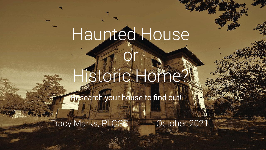# Haunted House

# Historic Home?

or

**Research your house to find out!** 

Tracy Marks, PLCGS **COLLEGAN COLLEGAN PROPERTY**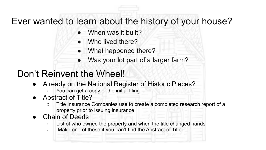#### Ever wanted to learn about the history of your house?

- When was it built?
- Who lived there?
- What happened there?
- Was your lot part of a larger farm?

#### Don't Reinvent the Wheel!

- Already on the National Register of Historic Places?
	- You can get a copy of the initial filing
- Abstract of Title?
	- Title Insurance Companies use to create a completed research report of a property prior to issuing insurance
- Chain of Deeds
	- $\circ$  List of who owned the property and when the title changed hands
	- Make one of these if you can't find the Abstract of Title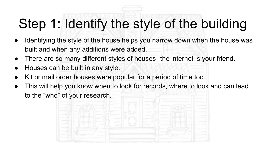## Step 1: Identify the style of the building

- Identifying the style of the house helps you narrow down when the house was built and when any additions were added.
- There are so many different styles of houses--the internet is your friend.
- Houses can be built in any style.
- Kit or mail order houses were popular for a period of time too.
- This will help you know when to look for records, where to look and can lead to the "who" of your research.

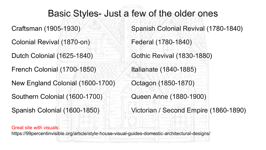#### Basic Styles- Just a few of the older ones

Colonial Revival (1870-on) Federal (1780-1840)

Dutch Colonial (1625-1840) Gothic Revival (1830-1880)

French Colonial (1700-1850) Italianate (1840-1885)

New England Colonial (1600-1700) Octagon (1850-1870)

Southern Colonial (1600-1700) Queen Anne (1880-1900)

Craftsman (1905-1930) Spanish Colonial Revival (1780-1840)

Spanish Colonial (1600-1850) Victorian / Second Empire (1860-1890)

Great site with visuals:

https://99percentinvisible.org/article/style-house-visual-guides-domestic-architectural-designs/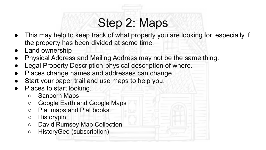### Step 2: Maps

- This may help to keep track of what property you are looking for, especially if the property has been divided at some time.
- **Land ownership**
- Physical Address and Mailing Address may not be the same thing.
- Legal Property Description-physical description of where.
- Places change names and addresses can change.
- Start your paper trail and use maps to help you.
- Places to start looking.
	- Sanborn Maps
	- Google Earth and Google Maps
	- Plat maps and Plat books
	- Historypin
	- David Rumsey Map Collection
	- HistoryGeo (subscription)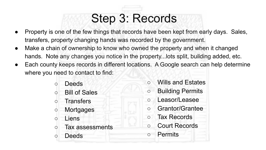### Step 3: Records

- Property is one of the few things that records have been kept from early days. Sales, transfers, property changing hands was recorded by the government.
- Make a chain of ownership to know who owned the property and when it changed hands. Note any changes you notice in the property...lots split, building added, etc.
- Each county keeps records in different locations. A Google search can help determine where you need to contact to find:
	- Deeds
	- Bill of Sales
	- Transfers
	- Mortgages
	- Liens
	- Tax assessments
	- Deeds
- Wills and Estates
- Building Permits
- Leasor/Leasee
- Grantor/Grantee
- Tax Records
- Court Records
- Permits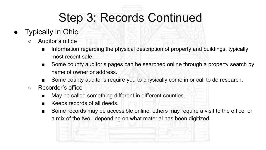### Step 3: Records Continued

- **Typically in Ohio** 
	- Auditor's office
		- Information regarding the physical description of property and buildings, typically most recent sale.
		- Some county auditor's pages can be searched online through a property search by name of owner or address.
		- Some county auditor's require you to physically come in or call to do research.
	- Recorder's office
		- May be called something different in different counties.
		- Keeps records of all deeds.
		- Some records may be accessible online, others may require a visit to the office, or a mix of the two...depending on what material has been digitized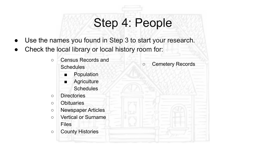### Step 4: People

- Use the names you found in Step 3 to start your research.
- Check the local library or local history room for:
	- Census Records and **Schedules** 
		- Population
		- Agriculture **Schedules**
	- Directories
	- Obituaries
	- Newspaper Articles
	- Vertical or Surname Files
	- County Histories

○ Cemetery Records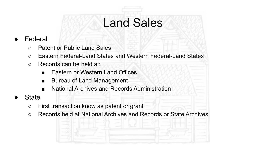### Land Sales

- **Federal** 
	- Patent or Public Land Sales
	- Eastern Federal-Land States and Western Federal-Land States
	- Records can be held at:
		- Eastern or Western Land Offices
		- Bureau of Land Management
		- National Archives and Records Administration
- **State** 
	- First transaction know as patent or grant
	- Records held at National Archives and Records or State Archives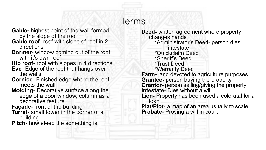#### Terms

- **Gable-** highest point of the wall formed by the slope of the roof
- **Gable roof** roof with slope of roof in 2 directions
- **Dormer** window coming out of the roof with it's own roof
- **Hip roof** roof with slopes in 4 directions
- **Eve** Edge of the roof that hangs over the walls
- **Cornice** Finished edge where the roof meets the wall
- **Molding** Decorative surface along the edge of a door window, column as a decorative feature
- **Façade** front of the building
- **Turret-** small tower in the corner of a building

**Pitch-** how steep the something is

**Deed-** written agreement where property changes hands \*Administrator's Deed- person dies intestate \*Quickclaim Deed \*Sheriff's Deed \*Trust Deed \*Warranty Deed **Farm-** land devoted to agriculture purposes **Grantee-** person buying the property **Grantor-** person selling/giving the property **Intestate**- Dies without a will **Lien-** Property has been used a coloratal for a loan **Plat/Plot**- a map of an area usually to scale **Probate**- Proving a will in court